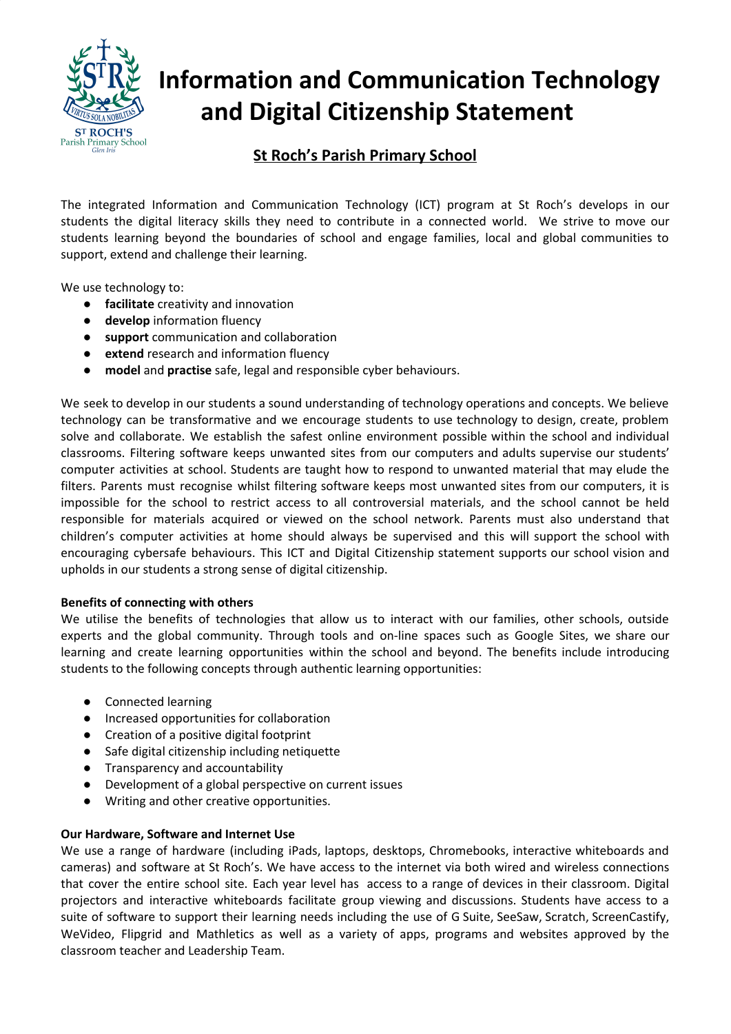

# **Information and Communication Technology and Digital Citizenship Statement**

# **St Roch's Parish Primary School**

The integrated Information and Communication Technology (ICT) program at St Roch's develops in our students the digital literacy skills they need to contribute in a connected world. We strive to move our students learning beyond the boundaries of school and engage families, local and global communities to support, extend and challenge their learning.

We use technology to:

- **facilitate** creativity and innovation
- **develop** information fluency
- support communication and collaboration
- **extend** research and information fluency
- model and practise safe, legal and responsible cyber behaviours.

We seek to develop in our students a sound understanding of technology operations and concepts. We believe technology can be transformative and we encourage students to use technology to design, create, problem solve and collaborate. We establish the safest online environment possible within the school and individual classrooms. Filtering software keeps unwanted sites from our computers and adults supervise our students' computer activities at school. Students are taught how to respond to unwanted material that may elude the filters. Parents must recognise whilst filtering software keeps most unwanted sites from our computers, it is impossible for the school to restrict access to all controversial materials, and the school cannot be held responsible for materials acquired or viewed on the school network. Parents must also understand that children's computer activities at home should always be supervised and this will support the school with encouraging cybersafe behaviours. This ICT and Digital Citizenship statement supports our school vision and upholds in our students a strong sense of digital citizenship.

#### **Benefits of connecting with others**

We utilise the benefits of technologies that allow us to interact with our families, other schools, outside experts and the global community. Through tools and on-line spaces such as Google Sites, we share our learning and create learning opportunities within the school and beyond. The benefits include introducing students to the following concepts through authentic learning opportunities:

- Connected learning
- Increased opportunities for collaboration
- Creation of a positive digital footprint
- Safe digital citizenship including netiquette
- Transparency and accountability
- Development of a global perspective on current issues
- Writing and other creative opportunities.

#### **Our Hardware, Software and Internet Use**

We use a range of hardware (including iPads, laptops, desktops, Chromebooks, interactive whiteboards and cameras) and software at St Roch's. We have access to the internet via both wired and wireless connections that cover the entire school site. Each year level has access to a range of devices in their classroom. Digital projectors and interactive whiteboards facilitate group viewing and discussions. Students have access to a suite of software to support their learning needs including the use of G Suite, SeeSaw, Scratch, ScreenCastify, WeVideo, Flipgrid and Mathletics as well as a variety of apps, programs and websites approved by the classroom teacher and Leadership Team.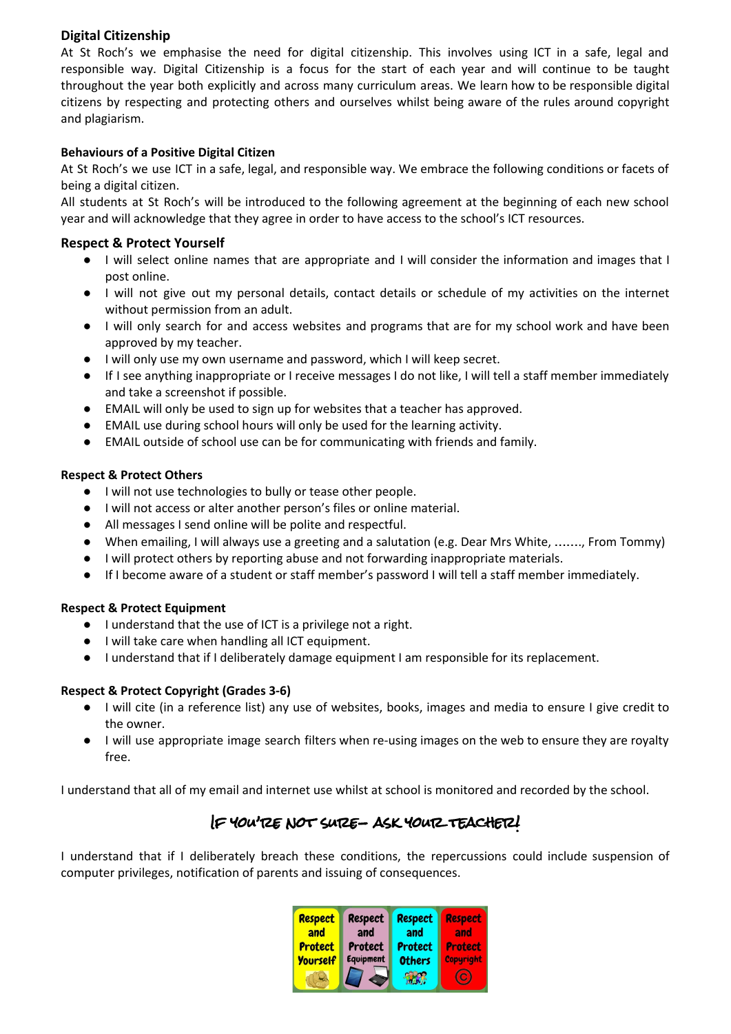## **Digital Citizenship**

At St Roch's we emphasise the need for digital citizenship. This involves using ICT in a safe, legal and responsible way. Digital Citizenship is a focus for the start of each year and will continue to be taught throughout the year both explicitly and across many curriculum areas. We learn how to be responsible digital citizens by respecting and protecting others and ourselves whilst being aware of the rules around copyright and plagiarism.

#### **Behaviours of a Positive Digital Citizen**

At St Roch's we use ICT in a safe, legal, and responsible way. We embrace the following conditions or facets of being a digital citizen.

All students at St Roch's will be introduced to the following agreement at the beginning of each new school year and will acknowledge that they agree in order to have access to the school's ICT resources.

#### **Respect & Protect Yourself**

- I will select online names that are appropriate and I will consider the information and images that I post online.
- I will not give out my personal details, contact details or schedule of my activities on the internet without permission from an adult.
- I will only search for and access websites and programs that are for my school work and have been approved by my teacher.
- I will only use my own username and password, which I will keep secret.
- If I see anything inappropriate or I receive messages I do not like, I will tell a staff member immediately and take a screenshot if possible.
- EMAIL will only be used to sign up for websites that a teacher has approved.
- EMAIL use during school hours will only be used for the learning activity.
- EMAIL outside of school use can be for communicating with friends and family.

#### **Respect & Protect Others**

- I will not use technologies to bully or tease other people.
- I will not access or alter another person's files or online material.
- All messages I send online will be polite and respectful.
- When emailing, I will always use a greeting and a salutation (e.g. Dear Mrs White, ……., From Tommy)
- I will protect others by reporting abuse and not forwarding inappropriate materials.
- If I become aware of a student or staff member's password I will tell a staff member immediately.

#### **Respect & Protect Equipment**

- I understand that the use of ICT is a privilege not a right.
- I will take care when handling all ICT equipment.
- I understand that if I deliberately damage equipment I am responsible for its replacement.

#### **Respect & Protect Copyright (Grades 3-6)**

- I will cite (in a reference list) any use of websites, books, images and media to ensure I give credit to the owner.
- I will use appropriate image search filters when re-using images on the web to ensure they are royalty free.

I understand that all of my email and internet use whilst at school is monitored and recorded by the school.

# If you're not sure- ask your teacher!

I understand that if I deliberately breach these conditions, the repercussions could include suspension of computer privileges, notification of parents and issuing of consequences.

| <b>Respect</b>  | <b>Respect</b>   | <b>Respect</b> | <b>Respect</b> |
|-----------------|------------------|----------------|----------------|
| and             | and              | and            | and            |
| <b>Protect</b>  | Protect          | <b>Protect</b> | <b>Protect</b> |
| <b>Yourself</b> | <b>Equipment</b> | <b>Others</b>  | Copyright      |
|                 |                  |                | C              |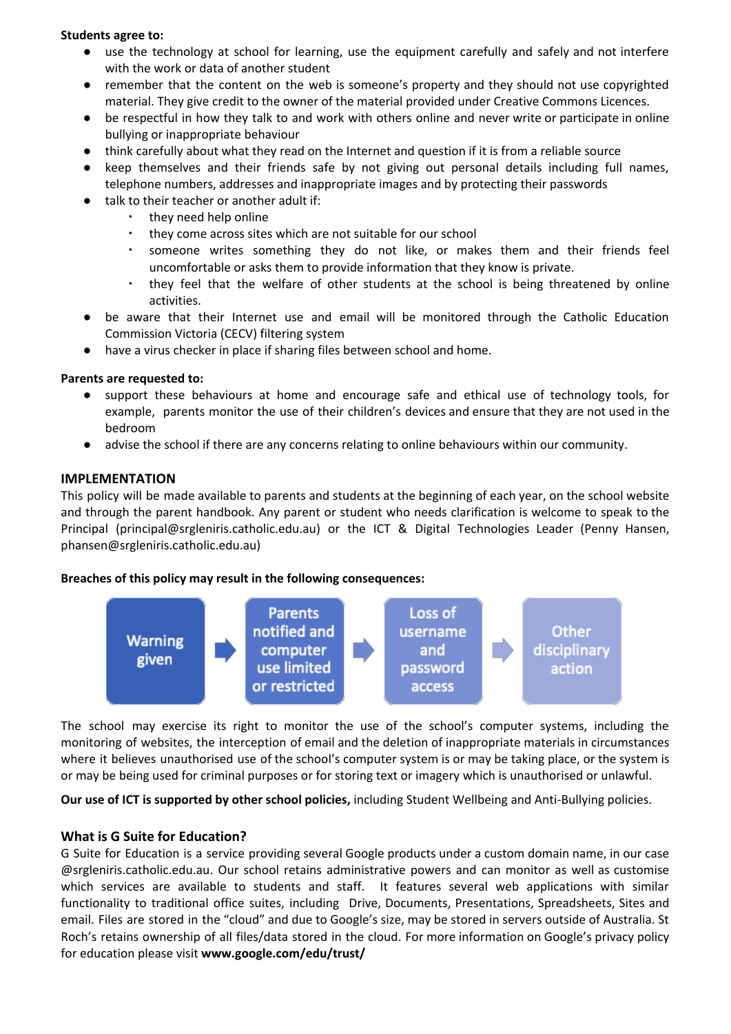#### **Students agree to:**

- use the technology at school for learning, use the equipment carefully and safely and not interfere with the work or data of another student
- remember that the content on the web is someone's property and they should not use copyrighted material. They give credit to the owner of the material provided under Creative Commons Licences.
- be respectful in how they talk to and work with others online and never write or participate in online bullying or inappropriate behaviour
- think carefully about what they read on the Internet and question if it is from a reliable source
- keep themselves and their friends safe by not giving out personal details including full names, telephone numbers, addresses and inappropriate images and by protecting their passwords
- talk to their teacher or another adult if:
	- they need help online
	- they come across sites which are not suitable for our school
	- someone writes something they do not like, or makes them and their friends feel uncomfortable or asks them to provide information that they know is private.
	- they feel that the welfare of other students at the school is being threatened by online activities.
- be aware that their Internet use and email will be monitored through the Catholic Education Commission Victoria (CECV) filtering system
- have a virus checker in place if sharing files between school and home.

#### **Parents are requested to:**

- support these behaviours at home and encourage safe and ethical use of technology tools, for example, parents monitor the use of their children's devices and ensure that they are not used in the bedroom
- advise the school if there are any concerns relating to online behaviours within our community.

## **IMPLEMENTATION**

This policy will be made available to parents and students at the beginning of each year, on the school website and through the parent handbook. Any parent or student who needs clarification is welcome to speak to the Principal (principal@srgleniris.catholic.edu.au) or the ICT & Digital Technologies Leader (Penny Hansen, phansen@srgleniris.catholic.edu.au)

#### **Breaches of this policy may result in the following consequences:**



The school may exercise its right to monitor the use of the school's computer systems, including the monitoring of websites, the interception of email and the deletion of inappropriate materials in circumstances where it believes unauthorised use of the school's computer system is or may be taking place, or the system is or may be being used for criminal purposes or for storing text or imagery which is unauthorised or unlawful.

**Our use of ICT is supported by other school policies,** including Student Wellbeing and Anti-Bullying policies.

## **What is G Suite for Education?**

G Suite for Education is a service providing several Google products under a custom domain name, in our case @srgleniris.catholic.edu.au. Our school retains administrative powers and can monitor as well as customise which services are available to students and staff. It features several web applications with similar functionality to traditional office suites, including Drive, Documents, Presentations, Spreadsheets, Sites and email. Files are stored in the "cloud" and due to Google's size, may be stored in servers outside of Australia. St Roch's retains ownership of all files/data stored in the cloud. For more information on Google's privacy policy for education please visit **www.google.com/edu/trust/**